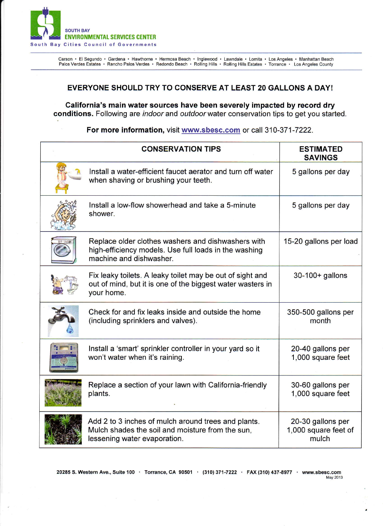

Carson • El Segundo • Gardena • Hawthorne • Hermosa Beach • Inglewood • Lawndale • Lomita • Los Angeles • Manhattan Beach<br>Palos Verdes Estates • Rancho Palos Verdes • Redondo Beach • Rolling Hills • Rolling Hills Estates •

## EVERYONE SHOULD TRY TO CONSERVE AT LEAST 20 GALLONS A DAY!

Galifornia's main water sources have been severely impacted by record dry conditions. Following are *indoor* and *outdoor* water conservation tips to get you started.

For more information, visit www.sbesc.com or call 310-371-7222.

| <b>CONSERVATION TIPS</b>                                                                                                                | <b>ESTIMATED</b><br><b>SAVINGS</b>                 |
|-----------------------------------------------------------------------------------------------------------------------------------------|----------------------------------------------------|
| Install a water-efficient faucet aerator and turn off water<br>when shaving or brushing your teeth.                                     | 5 gallons per day                                  |
| Install a low-flow showerhead and take a 5-minute<br>shower.                                                                            | 5 gallons per day                                  |
| Replace older clothes washers and dishwashers with<br>high-efficiency models. Use full loads in the washing<br>machine and dishwasher.  | 15-20 gallons per load                             |
| Fix leaky toilets. A leaky toilet may be out of sight and<br>out of mind, but it is one of the biggest water wasters in<br>your home.   | 30-100+ gallons                                    |
| Check for and fix leaks inside and outside the home<br>(including sprinklers and valves).                                               | 350-500 gallons per<br>month                       |
| Install a 'smart' sprinkler controller in your yard so it<br>won't water when it's raining.                                             | 20-40 gallons per<br>1,000 square feet             |
| Replace a section of your lawn with California-friendly<br>plants.                                                                      | 30-60 gallons per<br>1,000 square feet             |
| Add 2 to 3 inches of mulch around trees and plants.<br>Mulch shades the soil and moisture from the sun,<br>lessening water evaporation. | 20-30 gallons per<br>1,000 square feet of<br>mulch |